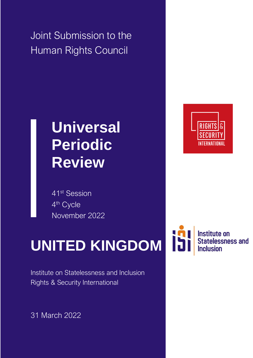Joint Submission to the Human Rights Council

## **Universal Periodic Review**

41st Session 4<sup>th</sup> Cycle November 2022

# **UNITED KINGDOM**

Institute on Statelessness and Inclusion Rights & Security International

31 March 2022



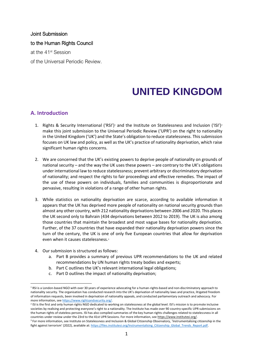#### Joint Submission to the Human Rights Council at the 41st Session of the Universal Periodic Review.

### **UNITED KINGDOM**

#### **A. Introduction**

- 1. Rights & Security International ('RSI')<sup>1</sup> and the Institute on Statelessness and Inclusion ('ISI')<sup>2</sup> make this joint submission to the Universal Periodic Review ('UPR') on the right to nationality in the United Kingdom ('UK') and the State's obligation to reduce statelessness. This submission focuses on UK law and policy, as well as the UK's practice of nationality deprivation, which raise significant human rights concerns.
- 2. We are concerned that the UK's existing powers to deprive people of nationality on grounds of national security – and the way the UK uses these powers – are contrary to the UK's obligations under international law to reduce statelessness; prevent arbitrary or discriminatory deprivation of nationality; and respect the rights to fair proceedings and effective remedies. The impact of the use of these powers on individuals, families and communities is disproportionate and pervasive, resulting in violations of a range of other human rights.
- 3. While statistics on nationality deprivation are scarce, according to available information it appears that the UK has deprived more people of nationality on national security grounds than almost any other country, with 212 nationality deprivations between 2006 and 2020. This places the UK second only to Bahrain (434 deprivations between 2012 to 2019). The UK is also among those countries that maintain the broadest and most vague bases for nationality deprivation. Further, of the 37 countries that have expanded their nationality deprivation powers since the turn of the century, the UK is one of only five European countries that allow for deprivation even when it causes statelessness.<sup>3</sup>
- 4. Our submission is structured as follows:
	- a. Part B provides a summary of previous UPR recommendations to the UK and related recommendations by UN human rights treaty bodies and experts;
	- b. Part C outlines the UK's relevant international legal obligations;
	- c. Part D outlines the impact of nationality deprivation;

<sup>&</sup>lt;sup>1</sup> RSI is a London-based NGO with over 30 years of experience advocating for a human-rights-based and non-discriminatory approach to nationality security. The organisation has conducted research into the UK's deprivation of nationality laws and practice, litigated freedom of information requests, been involved in deprivation of nationality appeals, and conducted parliamentary outreach and advocacy. For more information, se[e https://www.rightsandsecurity.org/.](https://www.rightsandsecurity.org/)

<sup>&</sup>lt;sup>2</sup> ISI is the first and only human rights NGO dedicated to working on statelessness at the global level. ISI's mission is to promote inclusive societies by realising and protecting everyone's right to a nationality. The Institute has made over 90 country-specific UPR submissions on the human rights of stateless persons. ISI has also compiled summaries of the key human rights challenges related to statelessness in all countries under review under the 23rd to the 41st UPR Sessions. For more information, se[e https://www.institutesi.org/.](https://www.institutesi.org/) <sup>3</sup> For more information, see Institute on Statelessness and Inclusion & Global Citizenship Observatory, 'Instrumentalising citizenship in the

fight against terrorism' (2022), available at[: https://files.institutesi.org/Instrumentalising\\_Citizenship\\_Global\\_Trends\\_Report.pdf.](https://files.institutesi.org/Instrumentalising_Citizenship_Global_Trends_Report.pdf)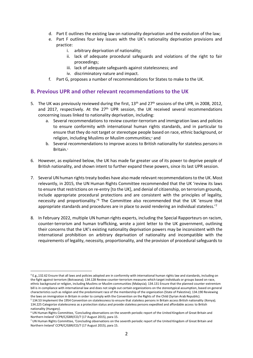- d. Part E outlines the existing law on nationality deprivation and the evolution of the law;
- e. Part F outlines four key issues with the UK's nationality deprivation provisions and practice:
	- i. arbitrary deprivation of nationality;
	- ii. lack of adequate procedural safeguards and violations of the right to fair proceedings;
	- iii. lack of adequate safeguards against statelessness; and
	- iv. discriminatory nature and impact.
- f. Part G, proposes a number of recommendations for States to make to the UK.

#### **B. Previous UPR and other relevant recommendations to the UK**

- 5. The UK was previously reviewed during the first,  $13<sup>th</sup>$  and  $27<sup>th</sup>$  sessions of the UPR, in 2008, 2012, and 2017, respectively. At the  $27<sup>th</sup>$  UPR session, the UK received several recommendations concerning issues linked to nationality deprivation, including:
	- a. Several recommendations to review counter-terrorism and immigration laws and policies to ensure conformity with international human rights standards, and in particular to ensure that they do not target or stereotype people based on race, ethnic background, or religion, including Muslims or Muslim communities; <sup>4</sup> and
	- b. Several recommendations to improve access to British nationality for stateless persons in Britain. 5
- 6. However, as explained below, the UK has made far greater use of its power to deprive people of British nationality, and shown intent to further expand these powers, since its last UPR session.
- 7. Several UN human rights treaty bodies have also made relevant recommendations to the UK. Most relevantly, in 2015, the UN Human Rights Committee recommended that the UK 'review its laws to ensure that restrictions on re-entry [to the UK], and denial of citizenship, on terrorism grounds, include appropriate procedural protections and are consistent with the principles of legality, necessity and proportionality.'<sup>6</sup> The Committee also recommended that the UK 'ensure that appropriate standards and procedures are in place to avoid rendering an individual stateless.<sup>77</sup>
- 8. In February 2022, multiple UN human rights experts, including the Special Rapporteurs on racism, counter-terrorism and human trafficking, wrote a joint letter to the UK government, outlining their concerns that the UK's existing nationality deprivation powers may be inconsistent with the international prohibition on arbitrary deprivation of nationality and incompatible with the requirements of legality, necessity, proportionality, and the provision of procedural safeguards to

<sup>4</sup> E.g.,132.62 Ensure that all laws and policies adopted are in conformity with international human rights law and standards, including on the fight against terrorism (Botswana); 134.128 Review counter-terrorism measures which target individuals or groups based on race, ethnic background or religion, including Muslims or Muslim communities (Malaysia); 134.131 Ensure that the planned counter-extremism bill is in compliance with international law and does not single out certain organizations on the stereotypical assumption, based on general characteristics such as religion and the predominant race of the membership of the organization (State of Palestine); 134.190 Reviewing the laws on immigration in Britain in order to comply with the Convention on the Rights of the Child (Syrian Arab Republic).

<sup>5</sup> 134.53 Implement the 1954 Convention on statelessness to ensure that stateless persons in Britain access British nationality (Kenya); 134.225 Categorize statelessness as a protection status and provide stateless persons expedited and affordable access to British nationality (Hungary).

<sup>6</sup> UN Human Rights Committee, 'Concluding observations on the seventh periodic report of the United Kingdom of Great Britain and Northern Ireland' CCPR/C/GBR/CO/7 (17 August 2015), para 15.

<sup>7</sup> UN Human Rights Committee, 'Concluding observations on the seventh periodic report of the United Kingdom of Great Britain and Northern Ireland' CCPR/C/GBR/CO/7 (17 August 2015), para 15.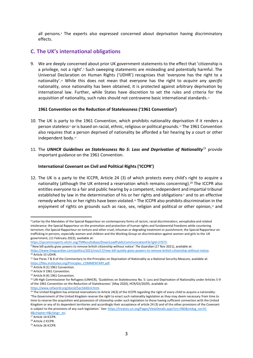all persons. <sup>8</sup> The experts also expressed concerned about deprivation having discriminatory effects.

#### **C. The UK's international obligations**

9. We are deeply concerned about prior UK government statements to the effect that 'citizenship is a privilege, not a right'.<sup>®</sup> Such sweeping statements are misleading and potentially harmful. The Universal Declaration on Human Rights ('UDHR') recognises that 'everyone has the right to a nationality'. <sup>10</sup> While this does not mean that everyone has the right to *acquire* any *specific*  nationality, once nationality has been obtained, it is protected against arbitrary deprivation by international law. Further, while States have discretion to set the rules and criteria for the acquisition of nationality, such rules should not contravene basic international standards.<sup>11</sup>

#### **1961 Convention on the Reduction of Statelessness ('1961 Convention')**

- 10. The UK is party to the 1961 Convention, which prohibits nationality deprivation if it renders a person stateless<sup>12</sup> or is based on racial, ethnic, religious or political grounds.<sup>13</sup> The 1961 Convention also requires that a person deprived of nationality be afforded a fair hearing by a court or other independent body. 14
- 11. The *UNHCR Guidelines on Statelessness No 5: Loss and Deprivation of Nationality*<sup>15</sup> provide important guidance on the 1961 Convention.

#### **International Covenant on Civil and Political Rights ('ICCPR')**

12. The UK is a party to the ICCPR, Article 24 (3) of which protects every child's right to acquire a nationality (although the UK entered a reservation which remains concerning).<sup>16</sup> The ICCPR also entitles everyone to a fair and public hearing by a competent, independent and impartial tribunal established by law in the determination of his or her rights and obligations<sup>17</sup> and to an effective remedy where his or her rights have been violated.<sup>18</sup> The ICCPR also prohibits discrimination in the enjoyment of rights on grounds such as race, sex, religion and political or other opinion,<sup>19</sup> and

<sup>9</sup> New bill quietly gives powers to remove british citizenship without notice' *The Guardian* (17 Nov 2021), available at:

[https://www.refworld.org/docid/5ec5640c4.html.](https://www.refworld.org/docid/5ec5640c4.html) 

<sup>8</sup> Letter by the Mandates of the Special Rapporteur on contemporary forms of racism, racial discrimination, xenophobia and related intolerance; the Special Rapporteur on the promotion and protection of human rights and fundamental freedoms while countering terrorism; the Special Rapporteur on torture and other cruel, inhuman or degrading treatment or punishment; the Special Rapporteur on trafficking in persons, especially women and children and the Working Group on discrimination against women and girls to the UK government, (11 February 2022), available at:

[https://spcommreports.ohchr.org/TMResultsBase/DownLoadPublicCommunicationFile?gId=27073.](https://spcommreports.ohchr.org/TMResultsBase/DownLoadPublicCommunicationFile?gId=27073)

[https://www.theguardian.com/politics/2021/nov/17/new-bill-quietly-gives-powers-to-remove-british-citizenship-without-notice.](https://www.theguardian.com/politics/2021/nov/17/new-bill-quietly-gives-powers-to-remove-british-citizenship-without-notice) <sup>10</sup> Article 15 UDHR.

 $11$  See Paras 7 & 8 of the Commentary to the Principles on Deprivation of Nationality as a National Security Measure, available at: [https://files.institutesi.org/Principles\\_COMMENTARY.pdf.](https://files.institutesi.org/Principles_COMMENTARY.pdf)

 $12$  Article 8 (1) 1961 Convention.

<sup>13</sup> Article 9 1961 Convention.

<sup>14</sup> Article 8 (4) 1961 Convention.

<sup>15</sup> UN High Commissioner for Refugees (UNHCR), 'Guidelines on Statelessness No. 5: Loss and Deprivation of Nationality under Articles 5-9 of the 1961 Convention on the Reduction of Statelessness' (May 2020), HCR/GS/20/05, available at:

<sup>&</sup>lt;sup>16</sup> The United Kingdom has entered reservations to Article 24(3) of the ICCPR regarding the right of every child to acquire a nationality: 'The Government of the United Kingdom reserve the right to enact such nationality legislation as they may deem necessary from time to time to reserve the acquisition and possession of citizenship under such legislation to those having sufficient connection with the United Kingdom or any of its dependent territories and accordingly their acceptance of article 24 (3) and of the other provisions of the Covenant is subject to the provisions of any such legislation.' See[: https://treaties.un.org/Pages/ViewDetails.aspx?src=IND&mtdsg\\_no=IV-](https://treaties.un.org/Pages/ViewDetails.aspx?src=IND&mtdsg_no=IV-4&chapter=4&clang=_en)[4&chapter=4&clang=\\_en.](https://treaties.un.org/Pages/ViewDetails.aspx?src=IND&mtdsg_no=IV-4&chapter=4&clang=_en)

<sup>&</sup>lt;sup>17</sup> Article 14 ICCPR.

<sup>18</sup> Article 2 ICCPR.

<sup>19</sup> Article 26 ICCPR.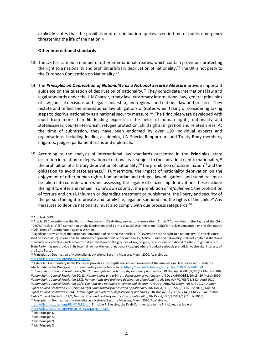explicitly states that the prohibition of discrimination applies even in time of public emergency threatening the life of the nation.<sup>20</sup>

#### **Other international standards**

- 13. The UK has ratified a number of other international treaties, which contain provisions protecting the right to a nationality and prohibit arbitrary deprivation of nationality.<sup>21</sup> The UK is not party to the European Convention on Nationality.<sup>22</sup>
- 14. The *Principles on Deprivation of Nationality as a National Security Measure* provide important guidance on the question of deprivation of nationality.<sup>23</sup> They consolidate international law and legal standards under the UN Charter, treaty law, customary international law, general principles of law, judicial decisions and legal scholarship, and regional and national law and practice. They restate and reflect the international law obligations of States when taking or considering taking steps to deprive nationality as a national security measure.<sup>24</sup> The Principles were developed with input from more than 60 leading experts in the fields of human rights, nationality and statelessness, counter-terrorism, refugee protection, child rights, migration and related areas. At the time of submission, they have been endorsed by over 110 individual experts and organisations, including leading academics, UN Special Rapporteurs and Treaty Body members, litigators, judges, parliamentarians and diplomats.
- 15. According to the analysis of international law standards presented in the **Principles,** state discretion in relation to deprivation of nationality is subject to the individual right to nationality,<sup>25</sup> the prohibition of arbitrary deprivation of nationality,<sup>26</sup> the prohibition of discrimination<sup>27</sup> and the obligation to avoid statelessness.<sup>28</sup> Furthermore, the impact of nationality deprivation on the enjoyment of other human rights, humanitarian and refugee law obligations and standards must be taken into consideration when assessing the legality of citizenship deprivation. These include the right to enter and remain in one's own country, the prohibition of *refoulement*, the prohibition of torture and cruel, inhuman or degrading treatment or punishment, the liberty and security of the person the right to private and family life, legal personhood and the rights of the child.<sup>29</sup> Any measures to deprive nationality must also comply with due process safeguards.<sup>30</sup>

<sup>23</sup> Principles on Deprivation of Nationality as a National Security Measure, March 2020. Available at:

[https://files.institutesi.org/PRINCIPLES.pdf.](https://files.institutesi.org/PRINCIPLES.pdf)

*Rights Council Resolution 20/5, Human rights and arbitrary deprivation of nationality,* UN Doc A/HRC/RES/20/5 (16 July 2012); *Human Rights Council Resolution 26/14, Human rights and arbitrary deprivation of nationality,* UN Doc A/HRC/RES/26/14 (11 July 2014); *Human Rights Council Resolution 32/5, Human rights and arbitrary deprivation of nationality,* UN Doc A/HRC/RES/32/5 (15 July 2016).

<sup>26</sup> Principles on Deprivation of Nationality as a National Security Measure, March 2020. Available at:

[https://files.institutesi.org/PRINCIPLES.pdf.,](https://files.institutesi.org/PRINCIPLES.pdf) Principle 7. See also, the Draft Commentary to the Principles, available at: [https://files.institutesi.org/Principles\\_COMMENTARY.pdf.](https://files.institutesi.org/Principles_COMMENTARY.pdf)

<sup>27</sup> Ibid Principle 6.

<sup>28</sup> Ibid Principle 5.

<sup>29</sup> Ibid Principle 9.

<sup>20</sup> Article 4 ICCPR.

<sup>&</sup>lt;sup>21</sup> Article 18 Convention on the Rights of Persons with Disabilities, subject to a reservation; Article 7 Convention on the Rights of the Child ('CRC'); Article 5 (d) (iii) Convention on the Elimination of All Forms of Racial Discrimination ('CERD'); Article 9 Convention on the Elimination of All Forms of Discrimination against Women.

 $^{22}$  Significant provisions of the European Convention of Nationality: Article 4 - (a) everyone has the right to a nationality; (b) statelessness shall be avoided; (c) no one shall be arbitrarily deprived of his or her nationality; Article 5: rules on nationality shall not contain distinctions or include any practice which amount to discrimination on the grounds of sex, religion, race, colour or national of ethnic origin; Article 7: State Party may not provide in its internal law for the loss of nationality except where 'conduct seriously prejudicial to the vital interests of the State Party'.

 $24$  A detailed Commentary to the Principles provides an in-depth analysis and overview of the international law norms and standards, which underlie the Principles. This Commentary can be found here[: https://files.institutesi.org/Principles\\_COMMENTARY.pdf.](https://files.institutesi.org/Principles_COMMENTARY.pdf) <sup>25</sup> Human Rights Council Resolution 7/10, Human rights and arbitrary deprivation of nationality, UN Doc A/HRC/RES/7/10 (27 March 2008); *Human Rights Council Resolution* 10/13, *Human rights and arbitrary deprivation of nationality,* UN Doc A/HRC/RES/10/13 (26 March 2009); *Human Rights Council Resolution 13/2, Human rights and arbitrary deprivation of nationality, UN Doc A/HRC/RES/13/2 (24 April 2010);* Human Rights Council Resolution 20/4, The right to a nationality: women and children, UN Doc A/HRC/RES/20/4 (16 July 2012); *Human* 

<sup>30</sup> Ibid Principle 8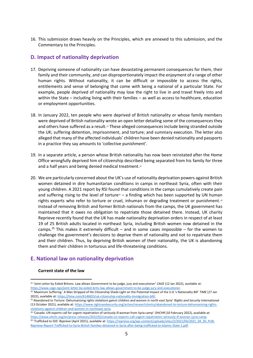16. This submission draws heavily on the Principles, which are annexed to this submission, and the Commentary to the Principles.

#### **D. Impact of nationality deprivation**

- 17. Depriving someone of nationality can have devastating permanent consequences for them, their family and their community, and can disproportionately impact the enjoyment of a range of other human rights. Without nationality, it can be difficult or impossible to access the rights, entitlements and sense of belonging that come with being a national of a particular State. For example, people deprived of nationality may lose the right to live in and travel freely into and within the State – including living with their families – as well as access to healthcare, education or employment opportunities.
- 18. In January 2022, ten people who were deprived of British nationality or whose family members were deprived of British nationality wrote an open letter detailing some of the consequences they and others have suffered as a result.<sup>31</sup> These alleged consequences include being stranded outside the UK; suffering detention, imprisonment, and torture; and summary execution. The letter also alleged that many of the affected individuals' children have been denied nationality and passports in a practice they say amounts to 'collective punishment'.
- 19. In a separate article, a person whose British nationality has now been reinstated after the Home Office wrongfully deprived him of citizenship described being separated from his family for three and a half years and being denied medical treatment.<sup>32</sup>
- 20. We are particularly concerned about the UK's use of nationality deprivation powers against British women detained in dire humanitarian conditions in camps in northeast Syria, often with their young children. A 2021 report by RSI found that conditions in the camps cumulatively create pain and suffering rising to the level of torture $33 - a$  finding which has been supported by UN human rights experts who refer to torture or cruel, inhuman or degrading treatment or punishment.<sup>34</sup> Instead of removing British and former British nationals from the camps, the UK government has maintained that it owes no obligation to repatriate those detained there. Instead, UK charity Reprieve recently found that the UK has made nationality deprivation orders in respect of at least 19 of 25 British adults located in northeast Syria, including British women now detained in the camps.<sup>35</sup> This makes it extremely difficult  $-$  and in some cases impossible  $-$  for the women to challenge the government's decisions to deprive them of nationality and not to repatriate them and their children. Thus, by depriving British women of their nationality, the UK is abandoning them and their children in torturous and life-threatening conditions.

#### **E. National law on nationality deprivation**

#### **Current state of the law**

<sup>34</sup> 'Canada: UN experts call for urgent repatriation of seriously ill woman from Syria camp' *OHCHR* (10 February 2022), available at: [https://www.ohchr.org/en/press-releases/2022/02/canada-un-experts-call-urgent-repatriation-seriously-ill-woman-syria-camp.](https://www.ohchr.org/en/press-releases/2022/02/canada-un-experts-call-urgent-repatriation-seriously-ill-woman-syria-camp)

<sup>31</sup> 'Joint Letter by Exiled Britons: Law allows Government to be judge, jury and executioner' *CAGE* (12 Jan 2022), available at: [https://www.cage.ngo/joint-letter-by-exiled-brits-law-allows-government-to-be-judge-jury-and-executioner.](https://www.cage.ngo/joint-letter-by-exiled-brits-law-allows-government-to-be-judge-jury-and-executioner)

<sup>32</sup> 'Maximum Suffering.' A Man Stripped of His Citizenship Sheds Light on the Potential Impact of the U.K.'s Nationality Bill' *TIME* (27 Jan 2022), available at[: https://time.com/6146655/uk-citizenship-nationality-immigration-bill/.](https://time.com/6146655/uk-citizenship-nationality-immigration-bill/)

<sup>33</sup> Abandoned to Torture: Dehumanising rights violations gainst children and women in north east Syria' *Rights and Security International*  (13 October 2021), available at[: https://www.rightsandsecurity.org/action/research/entry/abandoned-to-torture-dehumanising-rights](https://www.rightsandsecurity.org/action/research/entry/abandoned-to-torture-dehumanising-rights-violations-against-children-and-women-in-northeast-syria)[violations-against-children-and-women-in-northeast-syria.](https://www.rightsandsecurity.org/action/research/entry/abandoned-to-torture-dehumanising-rights-violations-against-children-and-women-in-northeast-syria)

<sup>&</sup>lt;sup>35</sup> 'Trafficked to ISIS' Reprieve (April 2021), available at: [https://reprieve.org/wp-content/uploads/sites/2/2021/04/2021\\_04\\_30\\_PUB-](https://reprieve.org/wp-content/uploads/sites/2/2021/04/2021_04_30_PUB-Reprieve-Report-Trafficked-to-Syria-British-families-detained-in-Syria-after-being-trafficked-to-Islamic-State-1.pdf)[Reprieve-Report-Trafficked-to-Syria-British-families-detained-in-Syria-after-being-trafficked-to-Islamic-State-1.pdf.](https://reprieve.org/wp-content/uploads/sites/2/2021/04/2021_04_30_PUB-Reprieve-Report-Trafficked-to-Syria-British-families-detained-in-Syria-after-being-trafficked-to-Islamic-State-1.pdf)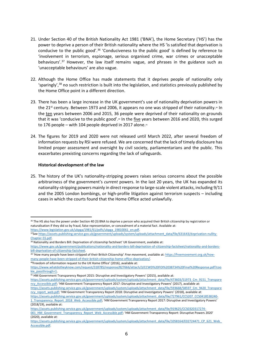- 21. Under Section 40 of the British Nationality Act 1981 ('BNA'), the Home Secretary ('HS') has the power to deprive a person of their British nationality where the HS 'is satisfied that deprivation is conducive to the public good'.<sup>36</sup> 'Conduciveness to the public good' is defined by reference to 'involvement in terrorism, espionage, serious organised crime, war crimes or unacceptable behaviours'. <sup>37</sup> However, the law itself remains vague, and phrases in the guidance such as 'unacceptable behaviours' are also vague.
- 22. Although the Home Office has made statements that it deprives people of nationality only 'sparingly', <sup>38</sup> no such restriction is built into the legislation, and statistics previously published by the Home Office point in a different direction.
- 23. There has been a large increase in the UK government's use of nationality deprivation powers in the 21<sup>st</sup> century. Between 1973 and 2006, it appears no one was stripped of their nationality.<sup>39</sup> In the ten years between 2006 and 2015, 36 people were deprived of their nationality on grounds that it was 'conducive to the public good'.<sup>40</sup> In the five years between 2016 and 2020, this surged to 176 people – with 104 people deprived in 2017 alone.<sup>41</sup>
- 24. The figures for 2019 and 2020 were not released until March 2022, after several freedom of information requests by RSI were refused. We are concerned that the lack of timely disclosure has limited proper assessment and oversight by civil society, parliamentarians and the public. This exacerbates prexisting concerns regarding the lack of safeguards.

#### **Historical development of the law**

25. The history of the UK's nationality-stripping powers raises serious concerns about the possible arbitrariness of the government's *current* powers. In the last 20 years, the UK has expanded its nationality-stripping powers mainly in direct response to large-scale violent attacks, including 9/11 and the 2005 London bombings, or high-profile litigation against terrorism suspects – including cases in which the courts found that the Home Office acted unlawfully.

<sup>&</sup>lt;sup>36</sup> The HS also has the power under Section 40 (3) BNA to deprive a person who acquired their British citizenship by registration or naturalisation if they did so by fraud, false representation, or concealment of a material fact. Available at: https://www.legislation.gov.uk/ukpga/1981/61/pdfs/ukpga\_19810061\_en.pdf.

<sup>37</sup>Se[e https://assets.publishing.service.gov.uk/government/uploads/system/uploads/attachment\\_data/file/631643/deprivation-nullity-](https://assets.publishing.service.gov.uk/government/uploads/system/uploads/attachment_data/file/631643/deprivation-nullity-Chapter-55.pdf)[Chapter-55.pdf.](https://assets.publishing.service.gov.uk/government/uploads/system/uploads/attachment_data/file/631643/deprivation-nullity-Chapter-55.pdf) 

<sup>38</sup> Nationality and Borders Bill: Deprivation of citizenship factsheet' UK Government, available at:

[https://www.gov.uk/government/publications/nationality-and-borders-bill-deprivation-of-citizenship-factsheet/nationality-and-borders](https://www.gov.uk/government/publications/nationality-and-borders-bill-deprivation-of-citizenship-factsheet/nationality-and-borders-bill-deprivation-of-citizenship-factsheet)[bill-deprivation-of-citizenship-factsheet.](https://www.gov.uk/government/publications/nationality-and-borders-bill-deprivation-of-citizenship-factsheet/nationality-and-borders-bill-deprivation-of-citizenship-factsheet) 

<sup>39</sup> 'How many people have been stripped of their Briitsh Citizenship' *Free movement,* available at[: https://freemovement.org.uk/how](https://freemovement.org.uk/how-many-people-have-been-stripped-of-their-british-citizenship-home-office-deprivation/)[many-people-have-been-stripped-of-their-british-citizenship-home-office-deprivation/.](https://freemovement.org.uk/how-many-people-have-been-stripped-of-their-british-citizenship-home-office-deprivation/)

<sup>40</sup>Freedom of information request to the UK Home Office' (2016), available at:

[https://www.whatdotheyknow.com/request/318785/response/827666/attach/3/CCWD%20FOI%2038734%20Final%20Response.pdf?coo](https://www.whatdotheyknow.com/request/318785/response/827666/attach/3/CCWD%20FOI%2038734%20Final%20Response.pdf?cookie_passthrough=1) [kie\\_passthrough=1.](https://www.whatdotheyknow.com/request/318785/response/827666/attach/3/CCWD%20FOI%2038734%20Final%20Response.pdf?cookie_passthrough=1)

<sup>41</sup> HM Government Transparency Report 2015: Disruptive and Investigatory Powers' (2015), available at:

[https://assets.publishing.service.gov.uk/government/uploads/system/uploads/attachment\\_data/file/473603/51973\\_Cm\\_9151\\_Transpare](https://assets.publishing.service.gov.uk/government/uploads/system/uploads/attachment_data/file/473603/51973_Cm_9151_Transparency_Accessible.pdf) ncy Accessible.pdf; 'HM Government Transparency Report 2017: Disruptive and Investigatory Powers' (2017), available at:

[https://assets.publishing.service.gov.uk/government/uploads/system/uploads/attachment\\_data/file/593668/58597\\_Cm\\_9420\\_Transpare](https://assets.publishing.service.gov.uk/government/uploads/system/uploads/attachment_data/file/593668/58597_Cm_9420_Transparency_report_web.pdf) ncy report web.pdf; 'HM Government Transparency Report 2018: Disruptive and Investigatory Powers' (2018), available at:

[https://assets.publishing.service.gov.uk/government/uploads/system/uploads/attachment\\_data/file/727961/CCS207\\_CCS0418538240-](https://assets.publishing.service.gov.uk/government/uploads/system/uploads/attachment_data/file/727961/CCS207_CCS0418538240-1_Transparency_Report_2018_Web_Accessible.pdf) [1\\_Transparency\\_Report\\_2018\\_Web\\_Accessible.pdf](https://assets.publishing.service.gov.uk/government/uploads/system/uploads/attachment_data/file/727961/CCS207_CCS0418538240-1_Transparency_Report_2018_Web_Accessible.pdf); 'HM Government Transparency Report 2017: Disruptive and Investigatory Powers' (2018/19), available at:

[https://assets.publishing.service.gov.uk/government/uploads/system/uploads/attachment\\_data/file/919625/CCS0320317274-](https://assets.publishing.service.gov.uk/government/uploads/system/uploads/attachment_data/file/919625/CCS0320317274-001_HM_Government_Transparency_Report_Web_Accessible.pdf)

[<sup>001</sup>\\_HM\\_Government\\_Transparency\\_Report\\_Web\\_Accessible.pdf](https://assets.publishing.service.gov.uk/government/uploads/system/uploads/attachment_data/file/919625/CCS0320317274-001_HM_Government_Transparency_Report_Web_Accessible.pdf); 'HM Government Transparency Report: Disruptive Powers 2020' (2020), available at:

https://assets.publishing.service.gov.uk/government/uploads/system/uploads/attachment\_data/file/1058164/E02724471\_CP\_621\_Web [Accessible.pdf.](https://assets.publishing.service.gov.uk/government/uploads/system/uploads/attachment_data/file/1058164/E02724471_CP_621_Web_Accessible.pdf)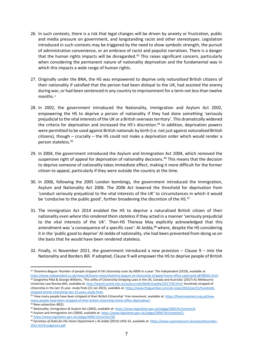- 26. In such contexts, there is a risk that legal changes will be driven by anxiety or frustration, public and media pressure on government, and longstanding racist and other stereotypes. Legislation introduced in such contexts may be triggered by the need to show symbolic strength, the pursuit of administrative convenience, or an embrace of racist and populist narratives. There is a danger that the human rights impacts will be disregarded. <sup>42</sup> This raises significant concern, particularly when considering the permanent nature of nationality deprivation and the fundamental way in which this impacts a wide range of human rights.
- 27. Originally under the BNA, the HS was empowered to deprive only *naturalised* British citizens of their nationality if satisfied that the person had been disloyal to the UK, had assisted the enemy during war, or had been sentenced in any country to imprisonment for a term not less than twelve months.<sup>43</sup>
- 28. In 2002, the government introduced the Nationality, Immigration and Asylum Act 2002, empowering the HS to deprive a person of nationality if they had done something 'seriously prejudicial to the vital interests of the UK or a British overseas territory'. This dramatically widened the criteria for deprivation and increased the HS's discretion. <sup>44</sup> In addition, deprivation powers were permitted to be used against British nationals by birth (i.e. not just against *naturalised* British citizens), though – crucially – the HS could not make a deprivation order which would render a person stateless.<sup>45</sup>
- 29. In 2004, the government introduced the Asylum and Immigration Act 2004, which removed the suspensive right of appeal for deprivation of nationality decisions. <sup>46</sup> This means that the decision to deprive someone of nationality takes immediate effect, making it more difficult for the former citizen to appeal, particularly if they were outside the country at the time.
- 30. In 2006, following the 2005 London bombings, the government introduced the Immigration, Asylum and Nationality Act 2006. The 2006 Act lowered the threshold for deprivation from 'conduct seriously prejudicial to the vital interests of the UK' to circumstances in which it would be 'conducive to the public good', further broadening the discretion of the HS.<sup>47</sup>
- 31. The Immigration Act 2014 enabled the HS to deprive a naturalised British citizen of their nationality *even where this rendered them stateless* if they acted in a manner 'seriously prejudicial to the vital interests of the UK'. Then-HS Theresa May explicitly acknowledged that this amendment was 'a consequence of a specific case': Al-Jedda,<sup>48</sup> where, despite the HS considering it in the 'public good to deprive' Al-Jedda of nationality, she had been prevented from doing so on the basis that he would have been rendered stateless.
- 32. Finally, in November 2021, the government introduced a new provision  $-$  Clause 9 into the Nationality and Borders Bill. If adopted, Clause 9 will empower the HS to deprive people of British

<sup>42</sup> 'Shamima Begum: Number of people stripped of UK citizenship soars by 600% in a year' *The Independent* (2019), available at [https://www.independent.co.uk/news/uk/home-news/shamima-begum-uk-citizenship-stripped-home-office-sajid-javid-a8788301.html.](https://www.independent.co.uk/news/uk/home-news/shamima-begum-uk-citizenship-stripped-home-office-sajid-javid-a8788301.html)   $42$  Sangeetha Pillai & George Williams, 'The utility of Citizenship Stripping Laws in the UK, Canada and Australia' (2017) 41 Melbourne University Law Review 845, available at[: http://www5.austlii.edu.au/au/journals/MelbULawRw/2017/40.html;](http://www5.austlii.edu.au/au/journals/MelbULawRw/2017/40.html) Hundreds stripped of citizenship in the last 15 year, study finds (21 Jan 2022), available at[: https://www.theguardian.com/uk-news/2022/jan/21/hundreds](https://www.theguardian.com/uk-news/2022/jan/21/hundreds-stripped-british-citizenship-last-15-years-study-finds)[stripped-british-citizenship-last-15-years-study-finds.](https://www.theguardian.com/uk-news/2022/jan/21/hundreds-stripped-british-citizenship-last-15-years-study-finds)

<sup>43</sup> 'How many people have been stripped of their Briitsh Citizenship' *Free movement,* available at[: https://freemovement.org.uk/how](https://freemovement.org.uk/how-many-people-have-been-stripped-of-their-british-citizenship-home-office-deprivation/)[many-people-have-been-stripped-of-their-british-citizenship-home-office-deprivation/.](https://freemovement.org.uk/how-many-people-have-been-stripped-of-their-british-citizenship-home-office-deprivation/) 

 $44$  New subsection 40(2).

<sup>45</sup> Nationality, Immigration & Asylum Act (2002), available at[: https://www.legislation.gov.uk/ukpga/2002/41/section/4.](https://www.legislation.gov.uk/ukpga/2002/41/section/4)

<sup>46</sup> Asylum and Immigration Act (2004), available at[: https://www.legislation.gov.uk/ukpga/2004/19/schedule/2.](https://www.legislation.gov.uk/ukpga/2004/19/schedule/2)

<sup>47</sup> <https://www.legislation.gov.uk/ukpga/2006/13/section/56>

<sup>48</sup> *Secretary of State for the Home Department v Al-Jedda* [2013] UKSC 62, available at[: https://www.supremecourt.uk/cases/docs/uksc-](https://www.supremecourt.uk/cases/docs/uksc-2012-0129-judgment.pdf)[2012-0129-judgment.pdf.](https://www.supremecourt.uk/cases/docs/uksc-2012-0129-judgment.pdf)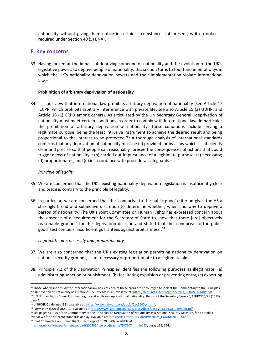nationality without giving them notice in certain circumstances (at present, written notice is required under Section 40 (5) BNA).

#### **F. Key concerns**

33. Having looked at the impact of depriving someone of nationality and the evolution of the UK's legislative powers to deprive people of nationality, this section turns to four fundamental ways in which the UK's nationality deprivation powers and their implementation violate international law. 49

#### **Prohibition of arbitrary deprivation of nationality**

34. It is our view that international law prohibits arbitrary deprivation of nationality (see Article 17 ICCPR, which prohibits arbitrary interference with private life; see also Article 15 (2) UDHR; and Article 18 (1) CRPD among others). As articulated by the UN Secretary General: 'deprivation of nationality must meet certain conditions in order to comply with international law, in particular the prohibition of arbitrary deprivation of nationality. These conditions include serving a legitimate purpose, being the least intrusive instrument to achieve the desired result and being proportional to the interest to be protected.<sup>'50</sup> A thorough analysis of international standards confirms that any deprivation of nationality must be (a) provided for by a law which is sufficiently clear and precise so that people can reasonably foresee the consequences of actions that could trigger a loss of nationality<sup>51</sup>; (b) carried out in pursuance of a legitimate purpose; (c) necessary; (d) proportionate<sup>52</sup>; and (e) in accordance with procedural safeguards.<sup>53</sup>

#### *Principle of legality*

- 35. We are concerned that the UK's existing nationality deprivation legislation is insufficiently clear and precise, contrary to the principle of legality.
- 36. In particular, we are concerned that the 'conducive to the public good' criterion gives the HS a strikingly broad and subjective discretion to determine whether, when and why to deprive a person of nationality. The UK's Joint Committee on Human Rights has expressed concern about the absence of a 'requirement for the Secretary of State to show that there [are] objectively reasonable grounds' for the deprivation decision and stated that the 'conducive to the public good' test contains 'insufficient guarantees against arbitrariness'.<sup>54</sup>

#### *Legitimate aim, necessity and proportionality*

- 37. We are also concerned that the UK's existing legislation permitting nationality deprivation on national security grounds, is not necessary or proportionate to a legitimate aim.
- 38. Principle 7.2 of the Deprivation Principles identifies the following purposes as illegitimate: (a) administering sanction or punishment, (b) facilitating expulsion or preventing entry, (c) exporting

<sup>49</sup> Those who wish to study the international law basis of each of these areas are encouraged to look at the Commentary to the Principles on Deprivation of Nationality as a National Security Measure, available at[: https://files.institutesi.org/Principles\\_COMMENTARY.pdf.](https://files.institutesi.org/Principles_COMMENTARY.pdf)

<sup>50</sup> UN Human Rights Council, 'Human rights and arbitrary deprivation of nationality: Report of the SecretaryGeneral', A/HRC/25/28 (2013), para 4.

<sup>&</sup>lt;sup>51</sup> UNHCHR Guidelines [92], available at[: https://www.refworld.org/docid/5ec5640c4.html.](https://www.refworld.org/docid/5ec5640c4.html)

<sup>52</sup> *Pham v UK* ([2015] UKSC 19, available at[: https://www.supremecourt.uk/cases/docs/uksc-2013-0150-judgment.pdf.](https://www.supremecourt.uk/cases/docs/uksc-2013-0150-judgment.pdf)

<sup>53</sup> See pages 51 – 76 of the Commentary to the Principles on Deprivaiton of Nationality as a National Security Measure, for a detailed overview of the different standards at play. available at[: https://files.institutesi.org/Principles\\_COMMENTARY.pdf.](https://files.institutesi.org/Principles_COMMENTARY.pdf) <sup>54</sup> Joint Committee on Human Rights, Third report of 2005-06, available at:

[https://publications.parliament.uk/pa/jt200506/jtselect/jtrights/75/7507.htm#n153,](https://publications.parliament.uk/pa/jt200506/jtselect/jtrights/75/7507.htm#n153) paras 161, 164.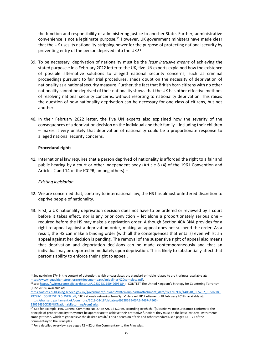the function and responsibility of administering justice to another State. Further, administrative convenience is not a legitimate purpose.<sup>55</sup> However, UK government ministers have made clear that the UK uses its nationality-stripping power for the purpose of protecting national security by preventing entry of the person deprived into the UK.<sup>56</sup>

- 39. To be necessary, deprivation of nationality must be the *least intrusive means* of achieving the stated purpose. <sup>57</sup> In a February 2022 letter to the UK, five UN experts explained how the existence of possible alternative solutions to alleged national security concerns, such as criminal proceedings pursuant to fair trial procedures, sheds doubt on the necessity of deprivation of nationality as a national security measure. Further, the fact that British born citizens with no other nationality cannot be deprived of their nationality shows that the UK has other effective methods of resolving national security concerns, without resorting to nationality deprivation. This raises the question of how nationality deprivation can be necessary for one class of citizens, but not another.
- 40. In their February 2022 letter, the five UN experts also explained how the severity of the consequences of a deprivation decision on the individual and their family – including their children – makes it very unlikely that deprivation of nationality could be a proportionate response to alleged national security concerns.

#### **Procedural rights**

41. International law requires that a person deprived of nationality is afforded the right to a fair and public hearing by a court or other independent body (Article 8 (4) of the 1961 Convention and Articles 2 and 14 of the ICCPR, among others).<sup>58</sup>

#### *Existing legislation*

- 42. We are concerned that, contrary to international law, the HS has almost unfettered discretion to deprive people of nationality.
- 43. First, a UK nationality deprivation decision does not have to be ordered or reviewed by a court before it takes effect, nor is any prior conviction – let alone a proportionately serious one – required before the HS may make a deprivation order. Although Section 40A BNA provides for a right to appeal against a deprivation order, making an appeal does not suspend the order. As a result, the HS can make a binding order (with all the consequences that entails) even whilst an appeal against her decision is pending. The removal of the suspensive right of appeal also means that deprivation and deportation decisions can be made contemporaneously and that an individual may be deported immediately upon deprivation. This is likely to substantially affect that person's ability to enforce their right to appeal.

<sup>&</sup>lt;sup>55</sup> See guideline 27vi in the context of detention, which encapsulates the standard principle related to arbitrariness, available at: [https://www.equalrightstrust.org/ertdocumentbank/guidelines%20complete.pdf.](https://www.equalrightstrust.org/ertdocumentbank/guidelines%20complete.pdf)

<sup>56</sup> see[: https://twitter.com/sajidjavid/status/1283753115049693184;](https://twitter.com/sajidjavid/status/1283753115049693184) ' CONTEST The United Kingdom's Strategy for Countering Terrorism' (June 2018), available at:

[https://assets.publishing.service.gov.uk/government/uploads/system/uploads/attachment\\_data/file/716907/140618\\_CCS207\\_CCS02189](https://assets.publishing.service.gov.uk/government/uploads/system/uploads/attachment_data/file/716907/140618_CCS207_CCS0218929798-1_CONTEST_3.0_WEB.pdf) [29798-1\\_CONTEST\\_3.0\\_WEB.pdf](https://assets.publishing.service.gov.uk/government/uploads/system/uploads/attachment_data/file/716907/140618_CCS207_CCS0218929798-1_CONTEST_3.0_WEB.pdf); 'UK Nationals returning from Syria' Hansard UK Parliament (18 February 2018), available at: [https://hansard.parliament.uk/commons/2019-02-18/debates/69E286BB-03A2-4467-AB65-](https://hansard.parliament.uk/commons/2019-02-18/debates/69E286BB-03A2-4467-AB65-B3059436CD53/UKNationalsReturningFromSyria) [B3059436CD53/UKNationalsReturningFromSyria.](https://hansard.parliament.uk/commons/2019-02-18/debates/69E286BB-03A2-4467-AB65-B3059436CD53/UKNationalsReturningFromSyria)

<sup>57</sup> See for example, HRC General Comment No. 27 on Art. 12 ICCPR:, according to which, "[R]estrictive measures must conform to the principle of proportionality; they must be appropriate to achieve their protective function; they must be the least intrusive instruments amongst those, which might achieve the desired result." For a discussion of this and other standards, see pages  $67 - 71$  of the Commentary to the Principles.

 $58$  For a detailed overview, see pages 72 – 82 of the Commentary tp the Principles.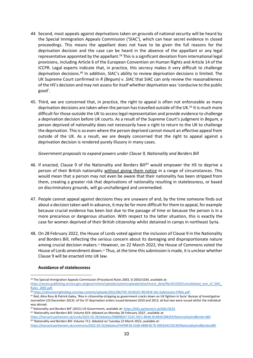- *44.* Second, most appeals against deprivations taken on grounds of national security will be heard by the Special Immigration Appeals Commission ('SIAC'), which can hear secret evidence in closed proceedings. This means the appellant does not have to be given the full reasons for the deprivation decision and the case can be heard in the absence of the appellant or any legal representative appointed by the appellant.<sup>59</sup> This is a significant deviation from international legal provisions, including Article 6 of the European Convention on Human Rights and Article 14 of the ICCPR. Legal experts indicate that, in practice, this secrecy makes it very difficult to challenge deprivation decisions. <sup>60</sup> In addition, SIAC's ability to review deprivation decisions is limited. The UK Supreme Court confirmed in *R (Begum) v. SIAC* that SIAC can only review the reasonableness of the HS's decision and may not assess for itself whether deprivation was 'conducive to the public good'.
- 45. Third, we are concerned that, in practice, the right to appeal is often not enforceable as many deprivation decisions are taken when the person has travelled outside of the UK.<sup>61</sup> It is much more difficult for those outside the UK to access legal representation and provide evidence to challenge a deprivation decision before UK courts. As a result of the Supreme Court's judgment in *Begum,* a person deprived of nationality does not necessarily have a right to return to the UK to challenge the deprivation. This is so even where the person deprived cannot mount an effective appeal from outside of the UK. As a result, we are deeply concerned that the right to appeal against a deprivation decision is rendered purely illusory in many cases.

*Government proposals to expand powers under Clause 9, Nationality and Borders Bill*

- 46. If enacted, Clause 9 of the Nationality and Borders Bill<sup>62</sup> would empower the HS to deprive a person of their British nationality without giving them notice in a range of circumstances. This would mean that a person may not even be aware that their nationality has been stripped from them, creating a greater risk that deprivations of nationality resulting in statelessness, or based on discriminatory grounds, will go unchallenged and unremedied.
- 47. People cannot appeal against decisions they are unaware of and, by the time someone finds out about a decision taken well in advance, it may be far more difficult for them to appeal, for example because crucial evidence has been lost due to the passage of time or because the person is in a more precarious or dangerous situation. With respect to the latter situation, this is exactly the case for women deprived of their British citizenship whilst detained in camps in northeast Syria.
- 48. On 28 February 2022, the House of Lords voted against the inclusion of Clause 9 in the Nationality and Borders Bill, reflecting the serious concern about its damaging and disproportionate nature among crucial decision makers.<sup>63</sup> However, on 22 March 2022, the House of Commons voted the House of Lords amendment down.<sup>64</sup> Thus, at the time this submission is made, it is unclear whether Clause 9 will be enacted into UK law.

#### **Avoidance of statelessness**

<sup>64</sup> 'Nationality and Borders Bill: Volume 711: debated on Tuesday 22 March 2022, available at:

<sup>&</sup>lt;sup>59</sup> The Special Immigration Appeals Commission (Procedure) Rules 2003, SI 2003/1034, available at:

[https://assets.publishing.service.gov.uk/government/uploads/system/uploads/attachment\\_data/file/421503/Consolidated\\_text\\_of\\_SIAC\\_](https://assets.publishing.service.gov.uk/government/uploads/system/uploads/attachment_data/file/421503/Consolidated_text_of_SIAC_Rules_2003.pdf) [Rules\\_2003.pdf.](https://assets.publishing.service.gov.uk/government/uploads/system/uploads/attachment_data/file/421503/Consolidated_text_of_SIAC_Rules_2003.pdf)

<sup>60</sup> [https://ukhumanrightsblog.com/wp-content/uploads/2021/06/THE-OUSELEY-REVIEW-SAs-Submission-FINAL.pdf.](https://ukhumanrightsblog.com/wp-content/uploads/2021/06/THE-OUSELEY-REVIEW-SAs-Submission-FINAL.pdf) 

<sup>61</sup> Ibid; Alice Ross & Patrick Galey, 'Rise in citizenship-stripping as government cracks down on UK fighters in Syria' *Bureau of Investigative Journalism* (23 December 2013): of the 37 deprivation orders issued between 2010 and 2013, all but two were issued whilst the individual was abroad.

<sup>62</sup> Nationality and Borders Bill' (2021) UK Government, available at: [https://bills.parliament.uk/bills/3023.](https://bills.parliament.uk/bills/3023)

<sup>&</sup>lt;sup>63</sup> 'Nationality and Borders Bill: Volume 819: debated on Monday 28 February 2022', available at: [https://hansard.parliament.uk/Lords/2022-02-28/debates/DB808D67-CC61-45F1-8D46-B14B42CBB2E9/NationalityAndBordersBill.](https://hansard.parliament.uk/Lords/2022-02-28/debates/DB808D67-CC61-45F1-8D46-B14B42CBB2E9/NationalityAndBordersBill)

[https://hansard.parliament.uk/commons/2022-03-22/debates/FA4FBF36-5168-4B9B-8C7E-09D2AAC33C39/NationalityAndBordersBill.](https://hansard.parliament.uk/commons/2022-03-22/debates/FA4FBF36-5168-4B9B-8C7E-09D2AAC33C39/NationalityAndBordersBill)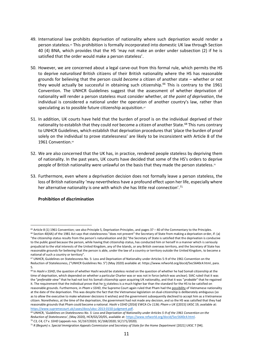- 49. International law prohibits deprivation of nationality where such deprivation would render a person stateless.<sup>®</sup> This prohibition is formally incorporated into domestic UK law through Section 40 (4) BNA, which provides that the HS 'may not make an order under subsection (2) if he is satisfied that the order would make a person stateless'.
- 50. However, we are concerned about a legal carve-out from this formal rule, which permits the HS to deprive *naturalised* British citizens of their British nationality where the HS has reasonable grounds for believing that the person could *become* a citizen of another state – whether or not they would actually be successful in obtaining such citizenship.<sup>66</sup> This is contrary to the 1961 Convention. The UNHCR Guidelines suggest that the assessment of whether deprivation of nationality will render a person stateless must consider whether, *at the point of deprivation*, the individual is considered a national under the operation of another country's law, rather than speculating as to possible future citizenship acquisition.<sup>67</sup>
- 51. In addition, UK courts have held that the burden of proof is on the individual deprived of their nationality to establish that they could *not* become a citizen of another State.<sup>68</sup> This runs contrary to UNHCR Guidelines, which establish that deprivation procedures that 'place the burden of proof solely on the individual to prove statelessness' are likely to be inconsistent with Article 8 of the 1961 Convention.<sup>69</sup>
- 52. We are also concerned that the UK has, in practice, rendered people stateless by depriving them of nationality. In the past years, UK courts have decided that some of the HS's orders to deprive people of British nationality were unlawful on the basis that they made the person stateless.<sup>70</sup>
- 53. Furthermore, even where a deprivation decision does not formally leave a person stateless, the loss of British nationality 'may nevertheless have a profound effect upon her life, especially where her alternative nationality is one with which she has little real connection'.<sup>71</sup>

#### **Prohibition of discrimination**

<sup>&</sup>lt;sup>65</sup> Article 8 (1) 1961 Convention; see also Principle 5, Deprivation Principles, and pages 37 – 40 of the Commentary to the Principles.

<sup>&</sup>lt;sup>66</sup> Section 40(4A) of the 1981 Act says that statelessness "does not prevent" the Secretary of State from making a deprivation order, if: (a) "the citizenship status results from the person's naturalisation and (b) "the Secretary of State is satisfied that the deprivation is conducive to the public good because the person, while having that citizenship status, has conducted him or herself in a manner which is seriously prejudicial to the vital interests of the United Kingdom, any of the Islands, or any British overseas territory, and the Secretary of State has reasonable grounds for believing that the person is able, under the law of a country or territory outside the United Kingdom, to become a national of such a country or territory".

<sup>67</sup> UNHCR, Guidelines on Statelessness No. 5: Loss and Deprivation of Nationality under Articles 5-9 of the 1961 Convention on the Reduction of Statelessness, ("UNHCR Guidelines No. 5") (May 2020) available at: https://www.refworld.org/docid/5ec5640c4.html, para. 5.

<sup>&</sup>lt;sup>68</sup> In *Hashi v SSHD*, the question of whether Hashi would be stateless rested on the question of whether he had Somali citizenship at the time of deprivation, which depended on whether a particular Charter was or was not in force (which was unclear). SIAC ruled that it was the "*preferable view"* that he had not lost his Somali citizenship upon acquiring UK nationality, and that it was "*probable*" that he regained it. The requirement that the individual prove that he is stateless is a much higher bar than the standard for the HS to be satisfied on reasonable grounds. Furthermore, in *Pham v SSHD*, the Supreme Court again ruled that Pham had the possibility of Vietnamese nationality at the date of the deprivation. This was despite the fact that the Vietnamese legislation on dual-citizenship is deliberately ambiguous (so as to allow the executive to make whatever decisions it wishes) and the government subsequently declined to accept him as a Vietnamese citizen. Nonetheless, at the time of the deprivation, the government had not made any decision, and so the HS was satisfied that they had reasonable grounds that Pham could become a national. *Hashi v SSHD [2016] EWCA Civ 1136; Pham v UK* ([2015] UKSC 19, available at: [https://www.supremecourt.uk/cases/docs/uksc-2013-0150-judgment.pdf.](https://www.supremecourt.uk/cases/docs/uksc-2013-0150-judgment.pdf)

<sup>69</sup> UNHCR, '*Guidelines on Statelessness No. 5: Loss and Deprivation of Nationality under Articles 5-9 of the 1961 Convention on the Reduction of Statelessness'*, (May 2020), HCR/GS/20/05, available at[: https://www.refworld.org/docid/5ec5640c4.html.](https://www.refworld.org/docid/5ec5640c4.html) <sup>70</sup> *C3, C4, C7 v. SSHD* (appeals nos. SC/167/2020; SC/168/2020; SC/171/2020).

<sup>&</sup>lt;sup>71</sup> R (Begum) v. Special Immigration Appeals Commission and Secretary of State for the Home Department [2021] UKSC 7 [94].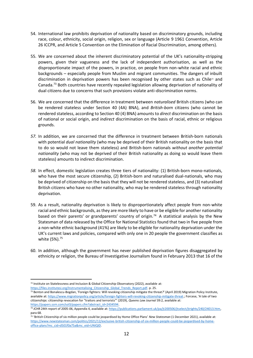- 54. International law prohibits deprivation of nationality based on discriminatory grounds, including race, colour, ethnicity, social origin, religion, sex or language (Article 9 1961 Convention, Article 26 ICCPR, and Article 5 Convention on the Elimination of Racial Discrimination, among others).
- 55. We are concerned about the inherent discriminatory potential of the UK's nationality-stripping powers, given their vagueness and the lack of independent authorisation, as well as the disproportionate impact of the powers, in practice, on people from non-white racial and ethnic backgrounds – especially people from Muslim and migrant communities. The dangers of inbuilt discrimination in deprivation powers has been recognised by other states such as Chile $^2$  and Canada. <sup>73</sup> Both countries have recently repealed legislation allowing deprivation of nationality of dual citizens due to concerns that such provisions violate anti-discrimination norms.
- 56. We are concerned that the difference in treatment between *naturalised* British citizens (who can be rendered stateless under Section 40 (4A) BNA), and *British-born* citizens (who cannot be rendered stateless, according to Section 40 (4) BNA) amounts to *direct* discrimination on the basis of national or social origin, and *indirect* discrimination on the basis of racial, ethnic or religious grounds.
- *57.* In addition, we are concerned that the difference in treatment between British-born nationals with potential *dual nationality* (who may be deprived of their British nationality on the basis that to do so would not leave them stateless) and British-born nationals *without another potential nationality* (who may not be deprived of their British nationality as doing so would leave them stateless) amounts to indirect discrimination.
- *58.* In effect, domestic legislation creates three tiers of nationality: (1) British-born mono-nationals, who have the most secure citizenship, (2) British-born and naturalised dual-nationals, who may be deprived of citizenship on the basis that they will not be rendered stateless, and (3) naturalised British citizens who have no other nationality, who may be rendered stateless through nationality deprivation.
- 59. As a result, nationality deprivation is likely to disproportionately affect people from non-white racial and ethnic backgrounds, as they are more likely to have or be eligible for another nationality based on their parents' or grandparents' country of origin*.* <sup>74</sup> A statistical analysis by the New Statesman of data released by the Office for National Statistics found that two in five people from a non-white ethnic background (41%) are likely to be eligible for nationality deprivation under the UK's current laws and policies, compared with only one in 20 people the government classifies as white (5%).<sup>75</sup>
- 60. In addition, although the government has never published deprivation figures disaggregated by ethnicity or religion, the Bureau of Investigative Journalism found in February 2013 that 16 of the

 $72$  Institute on Statelessness and Inclusion & Global Citizenship Observatory (2022), available at: [https://files.institutesi.org/Instrumentalising\\_Citizenship\\_Global\\_Trends\\_Report.pdf.](https://files.institutesi.org/Instrumentalising_Citizenship_Global_Trends_Report.pdf) p. 25.

<sup>73</sup> Benton and Bonalescu-Bogdan, 'Foreign fighters: Will revoking citizenship mitigate the threat*?*' (April 2019) Migration Policy Institute, available at[: https://www.migrationpolicy.org/article/foreign-fighters-will-revoking-citizenship-mitigate-threat](https://www.migrationpolicy.org/article/foreign-fighters-will-revoking-citizenship-mitigate-threat).; Forcese, 'A tale of two citizenships: citizenship revocation for "traitors and terrorists"' (2019), *Queens Law Journal* 39:2, available at: [https://papers.ssrn.com/sol3/papers.cfm?abstract\\_id=2434594.](https://papers.ssrn.com/sol3/papers.cfm?abstract_id=2434594)

<sup>&</sup>lt;sup>74</sup> JCHR 24th report of 2005-06, Appendix 4, available at: https://publications.parliament.uk/pa/jt200506/jtselect/jtrights/240/24013.htm, para 68.

<sup>75</sup> 'British Citizenship of six million people could be jeopardised by Home Office Plans' *New Statesman* (1 December 2021), available at: [https://www.newstatesman.com/politics/2021/12/exclusive-british-citizenship-of-six-million-people-could-be-jeopardised-by-home](https://www.newstatesman.com/politics/2021/12/exclusive-british-citizenship-of-six-million-people-could-be-jeopardised-by-home-office-plans?mc_cid=d501f0a75a&mc_eid=UNIQID)[office-plans?mc\\_cid=d501f0a75a&mc\\_eid=UNIQID.](https://www.newstatesman.com/politics/2021/12/exclusive-british-citizenship-of-six-million-people-could-be-jeopardised-by-home-office-plans?mc_cid=d501f0a75a&mc_eid=UNIQID)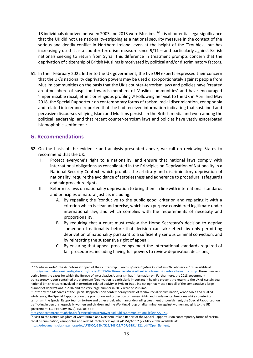18 individuals deprived between 2003 and 2013 were Muslims. *<sup>76</sup>* It is of potential legal significance that the UK did not use nationality-stripping as a national security measure in the context of the serious and deadly conflict in Northern Ireland, even at the height of the 'Troubles', but has increasingly used it as a counter-terrorism measure since 9/11 – and particularly against British nationals seeking to return from Syria. This difference in treatment prompts concern that the deprivation of citizenship of British Muslims is motivated by political and/or discriminatory factors.

61. In their February 2022 letter to the UK government, the five UN experts expressed their concern that the UK's nationality deprivation powers may be used disproportionately against people from Muslim communities on the basis that the UK's counter-terrorism laws and policies have 'created an atmosphere of suspicion towards members of Muslim communities' and have encouraged 'impermissible racial, ethnic or religious profiling'. <sup>77</sup> Following her visit to the UK in April and May 2018, the Special Rapporteur on contemporary forms of racism, racial discrimiantion, xenophobia and related intolerance reported that she had received information indicating that sustained and pervasive discourses vilifying Islam and Muslims persists in the British media and even among the political leadership, and that recent counter-terroism laws and policies have vastly exacerbated Islamophobic sentiment.<sup>78</sup>

#### **G. Recommendations**

- 62. On the basis of the evidence and analysis presented above, we call on reviewing States to recommend that the UK:
	- I. Protect everyone's right to a nationality, and ensure that national laws comply with international obligations as consolidated in the Principles on Deprivation of Nationality in a National Security Context, which prohibit the arbitrary and discriminatory deprivation of nationality, require the avoidance of statelessness and adherence to procedural safeguards and fair procedure rights.
	- II. Reform its laws on nationality deprivation to bring them in line with international standards and principles of natural justice, including:
		- A. By repealing the 'conducive to the public good' criterion and replacing it with a criterion which is clear and precise, which has a purpose considered legitimate under international law, and which complies with the requirements of necessity and proportionality;
		- B. By requiring that a court must review the Home Secretary's decision to deprive someone of nationality before that decision can take effect, by only permitting deprivation of nationality pursuant to a sufficiently serious criminal conviction, and by reinstating the suspensive right of appeal;
		- C. By ensuring that appeal proceedings meet the international standards required of fair procedures, including having full powers to review deprivation decisions;

<sup>76</sup> '"Medieval exile": the 42 Britons stripped of their citizenship', *Bureau of Investigative Journalism* (26 February 2013), available at: [https://www.thebureauinvestigates.com/stories/2013-02-26/medieval-exile-the-42-britons-stripped-of-their-citizenship.](https://www.thebureauinvestigates.com/stories/2013-02-26/medieval-exile-the-42-britons-stripped-of-their-citizenship) These numbers derive from the cases for which the Bureau of Investigative Journalism has information on. Furthermore, the 2018 government transparency report contained the statement 'Deprivation is particularly important in helping prevent the return to the UK of certain dualnational British citizens involved in terrorism-related activity in Syria or Iraq', indicating that most if not all of the comparatively large number of deprivations in 2016 and the very large number in 2017 were of Muslims.

<sup>77</sup> Letter by the Mandates of the Special Rapporteur on contemporary forms of racism, racial discrimination, xenophobia and related intolerance; the Special Rapporteur on the promotion and protection of human rights and fundamental freedoms while countering terrorism; the Special Rapporteur on torture and other cruel, inhuman or degrading treatment or punishment; the Special Rapporteur on trafficking in persons, especially women and children and the Working Group on discrimination against women and girls to the UK government, (11 February 2022), available at:

[https://spcommreports.ohchr.org/TMResultsBase/DownLoadPublicCommunicationFile?gId=27073.](https://spcommreports.ohchr.org/TMResultsBase/DownLoadPublicCommunicationFile?gId=27073)

<sup>&</sup>lt;sup>78</sup> 'Visit to the United Kingdom of Great Britain and Northern Ireland Report of the Special Rapporteur on contemporary forms of racism, racial discrimination, xenophobia and related intolerance' A/HRC/41/54/Add.2 (27 May 2019), available at: [https://documents-dds-ny.un.org/doc/UNDOC/GEN/G19/148/21/PDF/G1914821.pdf?OpenElement.](https://documents-dds-ny.un.org/doc/UNDOC/GEN/G19/148/21/PDF/G1914821.pdf?OpenElement)